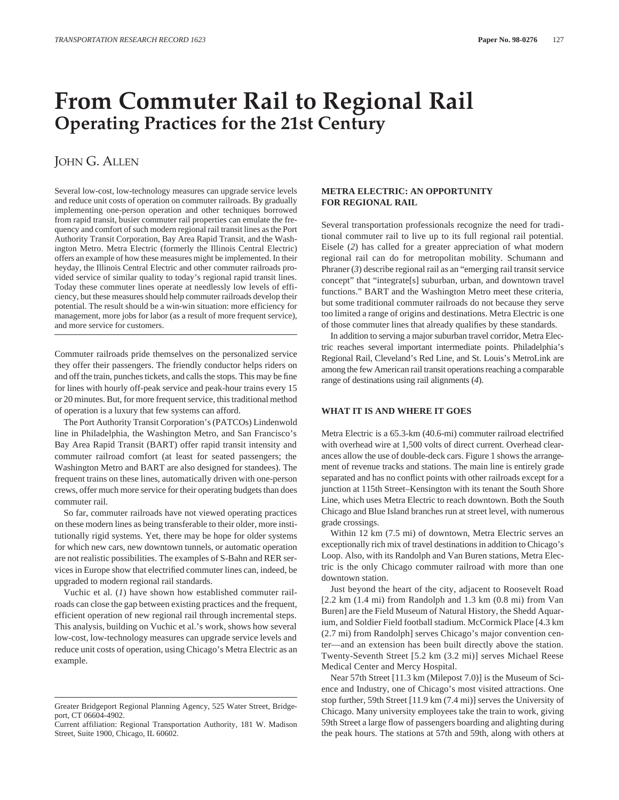# **From Commuter Rail to Regional Rail Operating Practices for the 21st Century**

# JOHN G. ALLEN

Several low-cost, low-technology measures can upgrade service levels and reduce unit costs of operation on commuter railroads. By gradually implementing one-person operation and other techniques borrowed from rapid transit, busier commuter rail properties can emulate the frequency and comfort of such modern regional rail transit lines as the Port Authority Transit Corporation, Bay Area Rapid Transit, and the Washington Metro. Metra Electric (formerly the Illinois Central Electric) offers an example of how these measures might be implemented. In their heyday, the Illinois Central Electric and other commuter railroads provided service of similar quality to today's regional rapid transit lines. Today these commuter lines operate at needlessly low levels of efficiency, but these measures should help commuter railroads develop their potential. The result should be a win-win situation: more efficiency for management, more jobs for labor (as a result of more frequent service), and more service for customers.

Commuter railroads pride themselves on the personalized service they offer their passengers. The friendly conductor helps riders on and off the train, punches tickets, and calls the stops. This may be fine for lines with hourly off-peak service and peak-hour trains every 15 or 20 minutes. But, for more frequent service, this traditional method of operation is a luxury that few systems can afford.

The Port Authority Transit Corporation's (PATCOs) Lindenwold line in Philadelphia, the Washington Metro, and San Francisco's Bay Area Rapid Transit (BART) offer rapid transit intensity and commuter railroad comfort (at least for seated passengers; the Washington Metro and BART are also designed for standees). The frequent trains on these lines, automatically driven with one-person crews, offer much more service for their operating budgets than does commuter rail.

So far, commuter railroads have not viewed operating practices on these modern lines as being transferable to their older, more institutionally rigid systems. Yet, there may be hope for older systems for which new cars, new downtown tunnels, or automatic operation are not realistic possibilities. The examples of S-Bahn and RER services in Europe show that electrified commuter lines can, indeed, be upgraded to modern regional rail standards.

Vuchic et al. (*1*) have shown how established commuter railroads can close the gap between existing practices and the frequent, efficient operation of new regional rail through incremental steps. This analysis, building on Vuchic et al.'s work, shows how several low-cost, low-technology measures can upgrade service levels and reduce unit costs of operation, using Chicago's Metra Electric as an example.

#### **METRA ELECTRIC: AN OPPORTUNITY FOR REGIONAL RAIL**

Several transportation professionals recognize the need for traditional commuter rail to live up to its full regional rail potential. Eisele (*2*) has called for a greater appreciation of what modern regional rail can do for metropolitan mobility. Schumann and Phraner (*3*) describe regional rail as an "emerging rail transit service concept" that "integrate[s] suburban, urban, and downtown travel functions." BART and the Washington Metro meet these criteria, but some traditional commuter railroads do not because they serve too limited a range of origins and destinations. Metra Electric is one of those commuter lines that already qualifies by these standards.

In addition to serving a major suburban travel corridor, Metra Electric reaches several important intermediate points. Philadelphia's Regional Rail, Cleveland's Red Line, and St. Louis's MetroLink are among the few American rail transit operations reaching a comparable range of destinations using rail alignments (*4*).

### **WHAT IT IS AND WHERE IT GOES**

Metra Electric is a 65.3-km (40.6-mi) commuter railroad electrified with overhead wire at 1,500 volts of direct current. Overhead clearances allow the use of double-deck cars. Figure 1 shows the arrangement of revenue tracks and stations. The main line is entirely grade separated and has no conflict points with other railroads except for a junction at 115th Street–Kensington with its tenant the South Shore Line, which uses Metra Electric to reach downtown. Both the South Chicago and Blue Island branches run at street level, with numerous grade crossings.

Within 12 km (7.5 mi) of downtown, Metra Electric serves an exceptionally rich mix of travel destinations in addition to Chicago's Loop. Also, with its Randolph and Van Buren stations, Metra Electric is the only Chicago commuter railroad with more than one downtown station.

Just beyond the heart of the city, adjacent to Roosevelt Road [2.2 km (1.4 mi) from Randolph and 1.3 km (0.8 mi) from Van Buren] are the Field Museum of Natural History, the Shedd Aquarium, and Soldier Field football stadium. McCormick Place [4.3 km (2.7 mi) from Randolph] serves Chicago's major convention center—and an extension has been built directly above the station. Twenty-Seventh Street [5.2 km (3.2 mi)] serves Michael Reese Medical Center and Mercy Hospital.

Near 57th Street [11.3 km (Milepost 7.0)] is the Museum of Science and Industry, one of Chicago's most visited attractions. One stop further, 59th Street [11.9 km (7.4 mi)] serves the University of Chicago. Many university employees take the train to work, giving 59th Street a large flow of passengers boarding and alighting during the peak hours. The stations at 57th and 59th, along with others at

Greater Bridgeport Regional Planning Agency, 525 Water Street, Bridgeport, CT 06604-4902.

Current affiliation: Regional Transportation Authority, 181 W. Madison Street, Suite 1900, Chicago, IL 60602.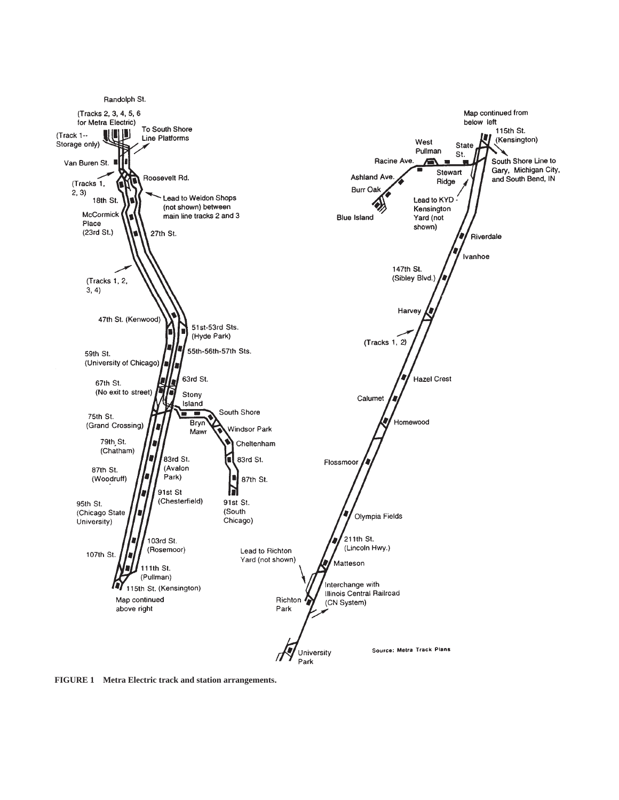

**FIGURE 1 Metra Electric track and station arrangements.**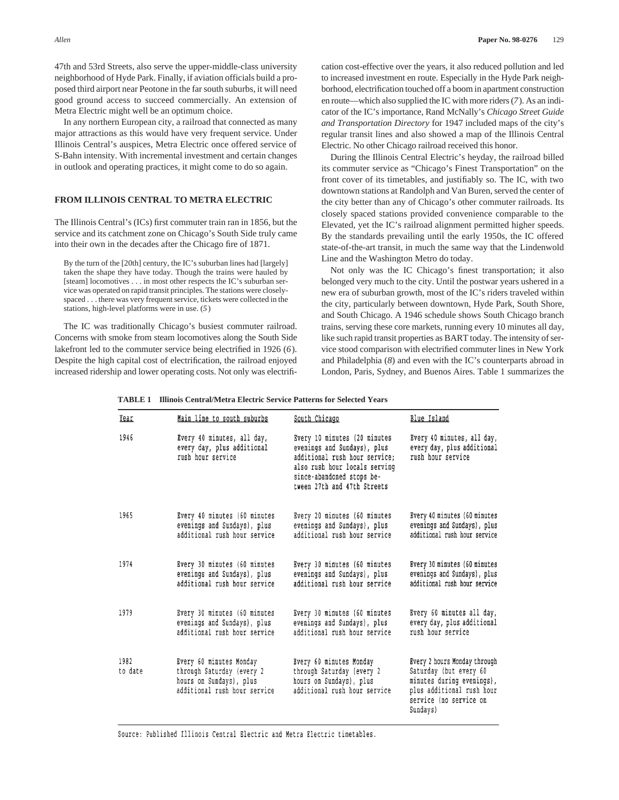47th and 53rd Streets, also serve the upper-middle-class university neighborhood of Hyde Park. Finally, if aviation officials build a proposed third airport near Peotone in the far south suburbs, it will need good ground access to succeed commercially. An extension of Metra Electric might well be an optimum choice.

In any northern European city, a railroad that connected as many major attractions as this would have very frequent service. Under Illinois Central's auspices, Metra Electric once offered service of S-Bahn intensity. With incremental investment and certain changes in outlook and operating practices, it might come to do so again.

# **FROM ILLINOIS CENTRAL TO METRA ELECTRIC**

The Illinois Central's (ICs) first commuter train ran in 1856, but the service and its catchment zone on Chicago's South Side truly came into their own in the decades after the Chicago fire of 1871.

By the turn of the [20th] century, the IC's suburban lines had [largely] taken the shape they have today. Though the trains were hauled by [steam] locomotives . . . in most other respects the IC's suburban service was operated on rapid transit principles. The stations were closelyspaced . . . there was very frequent service, tickets were collected in the stations, high-level platforms were in use. (*5*)

The IC was traditionally Chicago's busiest commuter railroad. Concerns with smoke from steam locomotives along the South Side lakefront led to the commuter service being electrified in 1926 (*6*). Despite the high capital cost of electrification, the railroad enjoyed increased ridership and lower operating costs. Not only was electrifi-

cation cost-effective over the years, it also reduced pollution and led to increased investment en route. Especially in the Hyde Park neighborhood, electrification touched off a boom in apartment construction en route—which also supplied the IC with more riders (*7*). As an indicator of the IC's importance, Rand McNally's *Chicago Street Guide and Transportation Directory* for 1947 included maps of the city's regular transit lines and also showed a map of the Illinois Central Electric. No other Chicago railroad received this honor.

During the Illinois Central Electric's heyday, the railroad billed its commuter service as "Chicago's Finest Transportation" on the front cover of its timetables, and justifiably so. The IC, with two downtown stations at Randolph and Van Buren, served the center of the city better than any of Chicago's other commuter railroads. Its closely spaced stations provided convenience comparable to the Elevated, yet the IC's railroad alignment permitted higher speeds. By the standards prevailing until the early 1950s, the IC offered state-of-the-art transit, in much the same way that the Lindenwold Line and the Washington Metro do today.

Not only was the IC Chicago's finest transportation; it also belonged very much to the city. Until the postwar years ushered in a new era of suburban growth, most of the IC's riders traveled within the city, particularly between downtown, Hyde Park, South Shore, and South Chicago. A 1946 schedule shows South Chicago branch trains, serving these core markets, running every 10 minutes all day, like such rapid transit properties as BART today. The intensity of service stood comparison with electrified commuter lines in New York and Philadelphia (*8*) and even with the IC's counterparts abroad in London, Paris, Sydney, and Buenos Aires. Table 1 summarizes the

**TABLE 1 Illinois Central/Metra Electric Service Patterns for Selected Years**

| Year            | Main line to south suburbs                                                                                      | South Chicago                                                                                                                                                                             | Blue Island                                                                                                                                            |
|-----------------|-----------------------------------------------------------------------------------------------------------------|-------------------------------------------------------------------------------------------------------------------------------------------------------------------------------------------|--------------------------------------------------------------------------------------------------------------------------------------------------------|
| 1946            | Every 40 minutes, all day,<br>every day, plus additional<br>rush hour service                                   | Every 10 minutes (20 minutes<br>evenings and Sundays), plus<br>additional rush hour service:<br>also rush hour locals serving<br>since-abandoned stops be-<br>tween 27th and 47th Streets | Every 40 minutes, all day,<br>every day, plus additional<br>rush hour service                                                                          |
| 1965            | Every 40 minutes (60 minutes<br>evenings and Sundays), plus<br>additional rush hour service                     | Every 20 minutes (60 minutes<br>evenings and Sundays), plus<br>additional rush hour service                                                                                               | Every 40 minutes (60 minutes<br>evenings and Sundays), plus<br>additional rush hour service                                                            |
| 1974            | Every 30 minutes (60 minutes<br>evenings and Sundays), plus<br>additional rush hour service                     | Every 30 minutes (60 minutes<br>evenings and Sundays), plus<br>additional rush hour service                                                                                               | Every 30 minutes (60 minutes<br>evenings and Sundays), plus<br>additional rush hour service                                                            |
| 1979            | Every 30 minutes (60 minutes<br>evenings and Sundays), plus<br>additional rush hour service                     | Every 30 minutes (60 minutes<br>evenings and Sundays), plus<br>additional rush hour service                                                                                               | Every 60 minutes all day,<br>every day, plus additional<br>rush hour service                                                                           |
| 1982<br>to date | Every 60 minutes Monday<br>through Saturday (every 2<br>hours on Sundays), plus<br>additional rush hour service | Every 60 minutes Monday<br>through Saturday (every 2<br>hours on Sundays), plus<br>additional rush hour service                                                                           | Every 2 hours Monday through<br>Saturday (but every 60<br>minutes during evenings),<br>plus additional rush hour<br>service (no service on<br>Sundays) |

Source: Published Illinois Central Electric and Metra Electric timetables.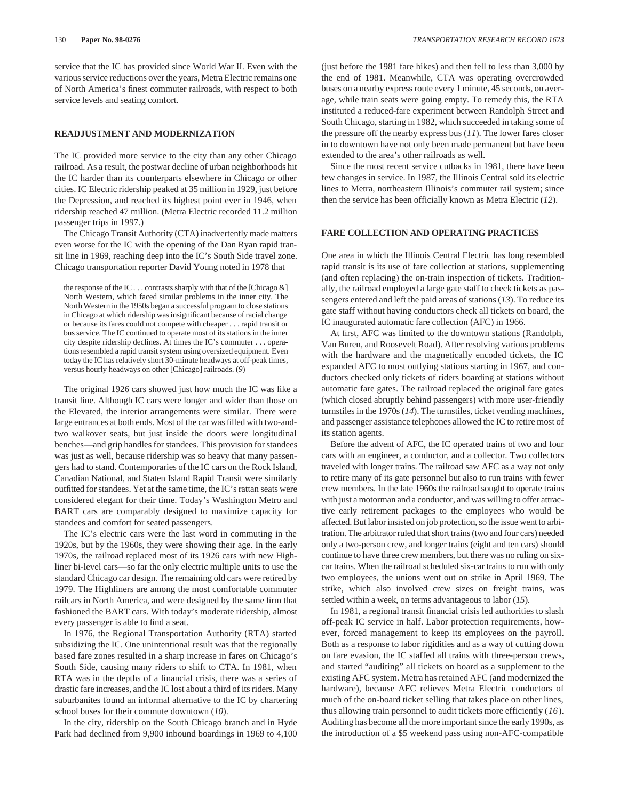service that the IC has provided since World War II. Even with the various service reductions over the years, Metra Electric remains one of North America's finest commuter railroads, with respect to both service levels and seating comfort.

#### **READJUSTMENT AND MODERNIZATION**

The IC provided more service to the city than any other Chicago railroad. As a result, the postwar decline of urban neighborhoods hit the IC harder than its counterparts elsewhere in Chicago or other cities. IC Electric ridership peaked at 35 million in 1929, just before the Depression, and reached its highest point ever in 1946, when ridership reached 47 million. (Metra Electric recorded 11.2 million passenger trips in 1997.)

The Chicago Transit Authority (CTA) inadvertently made matters even worse for the IC with the opening of the Dan Ryan rapid transit line in 1969, reaching deep into the IC's South Side travel zone. Chicago transportation reporter David Young noted in 1978 that

the response of the IC . . . contrasts sharply with that of the [Chicago &] North Western, which faced similar problems in the inner city. The North Western in the 1950s began a successful program to close stations in Chicago at which ridership was insignificant because of racial change or because its fares could not compete with cheaper . . . rapid transit or bus service. The IC continued to operate most of its stations in the inner city despite ridership declines. At times the IC's commuter . . . operations resembled a rapid transit system using oversized equipment. Even today the IC has relatively short 30-minute headways at off-peak times, versus hourly headways on other [Chicago] railroads. (*9*)

The original 1926 cars showed just how much the IC was like a transit line. Although IC cars were longer and wider than those on the Elevated, the interior arrangements were similar. There were large entrances at both ends. Most of the car was filled with two-andtwo walkover seats, but just inside the doors were longitudinal benches—and grip handles for standees. This provision for standees was just as well, because ridership was so heavy that many passengers had to stand. Contemporaries of the IC cars on the Rock Island, Canadian National, and Staten Island Rapid Transit were similarly outfitted for standees. Yet at the same time, the IC's rattan seats were considered elegant for their time. Today's Washington Metro and BART cars are comparably designed to maximize capacity for standees and comfort for seated passengers.

The IC's electric cars were the last word in commuting in the 1920s, but by the 1960s, they were showing their age. In the early 1970s, the railroad replaced most of its 1926 cars with new Highliner bi-level cars—so far the only electric multiple units to use the standard Chicago car design. The remaining old cars were retired by 1979. The Highliners are among the most comfortable commuter railcars in North America, and were designed by the same firm that fashioned the BART cars. With today's moderate ridership, almost every passenger is able to find a seat.

In 1976, the Regional Transportation Authority (RTA) started subsidizing the IC. One unintentional result was that the regionally based fare zones resulted in a sharp increase in fares on Chicago's South Side, causing many riders to shift to CTA. In 1981, when RTA was in the depths of a financial crisis, there was a series of drastic fare increases, and the IC lost about a third of its riders. Many suburbanites found an informal alternative to the IC by chartering school buses for their commute downtown (*10*).

In the city, ridership on the South Chicago branch and in Hyde Park had declined from 9,900 inbound boardings in 1969 to 4,100

(just before the 1981 fare hikes) and then fell to less than 3,000 by the end of 1981. Meanwhile, CTA was operating overcrowded buses on a nearby express route every 1 minute, 45 seconds, on average, while train seats were going empty. To remedy this, the RTA instituted a reduced-fare experiment between Randolph Street and South Chicago, starting in 1982, which succeeded in taking some of the pressure off the nearby express bus (*11*). The lower fares closer in to downtown have not only been made permanent but have been extended to the area's other railroads as well.

Since the most recent service cutbacks in 1981, there have been few changes in service. In 1987, the Illinois Central sold its electric lines to Metra, northeastern Illinois's commuter rail system; since then the service has been officially known as Metra Electric (*12*).

#### **FARE COLLECTION AND OPERATING PRACTICES**

One area in which the Illinois Central Electric has long resembled rapid transit is its use of fare collection at stations, supplementing (and often replacing) the on-train inspection of tickets. Traditionally, the railroad employed a large gate staff to check tickets as passengers entered and left the paid areas of stations (*13*). To reduce its gate staff without having conductors check all tickets on board, the IC inaugurated automatic fare collection (AFC) in 1966.

At first, AFC was limited to the downtown stations (Randolph, Van Buren, and Roosevelt Road). After resolving various problems with the hardware and the magnetically encoded tickets, the IC expanded AFC to most outlying stations starting in 1967, and conductors checked only tickets of riders boarding at stations without automatic fare gates. The railroad replaced the original fare gates (which closed abruptly behind passengers) with more user-friendly turnstiles in the 1970s (*14*). The turnstiles, ticket vending machines, and passenger assistance telephones allowed the IC to retire most of its station agents.

Before the advent of AFC, the IC operated trains of two and four cars with an engineer, a conductor, and a collector. Two collectors traveled with longer trains. The railroad saw AFC as a way not only to retire many of its gate personnel but also to run trains with fewer crew members. In the late 1960s the railroad sought to operate trains with just a motorman and a conductor, and was willing to offer attractive early retirement packages to the employees who would be affected. But labor insisted on job protection, so the issue went to arbitration. The arbitrator ruled that short trains (two and four cars) needed only a two-person crew, and longer trains (eight and ten cars) should continue to have three crew members, but there was no ruling on sixcar trains. When the railroad scheduled six-car trains to run with only two employees, the unions went out on strike in April 1969. The strike, which also involved crew sizes on freight trains, was settled within a week, on terms advantageous to labor (*15*).

In 1981, a regional transit financial crisis led authorities to slash off-peak IC service in half. Labor protection requirements, however, forced management to keep its employees on the payroll. Both as a response to labor rigidities and as a way of cutting down on fare evasion, the IC staffed all trains with three-person crews, and started "auditing" all tickets on board as a supplement to the existing AFC system. Metra has retained AFC (and modernized the hardware), because AFC relieves Metra Electric conductors of much of the on-board ticket selling that takes place on other lines, thus allowing train personnel to audit tickets more efficiently (*16*). Auditing has become all the more important since the early 1990s, as the introduction of a \$5 weekend pass using non-AFC-compatible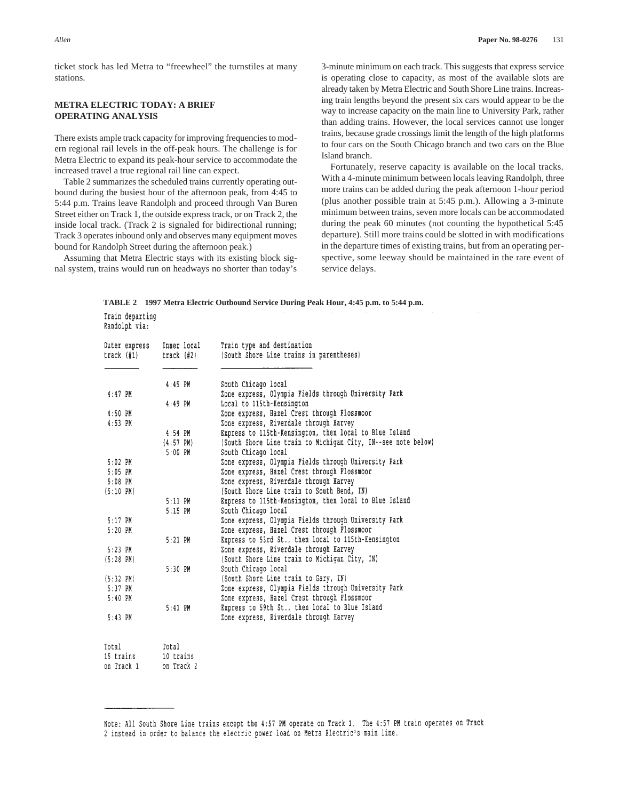ticket stock has led Metra to "freewheel" the turnstiles at many stations.

# **METRA ELECTRIC TODAY: A BRIEF OPERATING ANALYSIS**

Prain denarring

There exists ample track capacity for improving frequencies to modern regional rail levels in the off-peak hours. The challenge is for Metra Electric to expand its peak-hour service to accommodate the increased travel a true regional rail line can expect.

Table 2 summarizes the scheduled trains currently operating outbound during the busiest hour of the afternoon peak, from 4:45 to 5:44 p.m. Trains leave Randolph and proceed through Van Buren Street either on Track 1, the outside express track, or on Track 2, the inside local track. (Track 2 is signaled for bidirectional running; Track 3 operates inbound only and observes many equipment moves bound for Randolph Street during the afternoon peak.)

Assuming that Metra Electric stays with its existing block signal system, trains would run on headways no shorter than today's 3-minute minimum on each track. This suggests that express service is operating close to capacity, as most of the available slots are already taken by Metra Electric and South Shore Line trains. Increasing train lengths beyond the present six cars would appear to be the way to increase capacity on the main line to University Park, rather than adding trains. However, the local services cannot use longer trains, because grade crossings limit the length of the high platforms to four cars on the South Chicago branch and two cars on the Blue Island branch.

Fortunately, reserve capacity is available on the local tracks. With a 4-minute minimum between locals leaving Randolph, three more trains can be added during the peak afternoon 1-hour period (plus another possible train at 5:45 p.m.). Allowing a 3-minute minimum between trains, seven more locals can be accommodated during the peak 60 minutes (not counting the hypothetical 5:45 departure). Still more trains could be slotted in with modifications in the departure times of existing trains, but from an operating perspective, some leeway should be maintained in the rare event of service delays.

**TABLE 2 1997 Metra Electric Outbound Service During Peak Hour, 4:45 p.m. to 5:44 p.m.**

| Randolph via: |                 |                                          |                                                               |  |
|---------------|-----------------|------------------------------------------|---------------------------------------------------------------|--|
|               | Outer express   | Inner local                              | Train type and destination                                    |  |
| track (#1)    | $track$ $(\#2)$ | (South Shore Line trains in parentheses) |                                                               |  |
|               |                 | $4:45$ PM                                | South Chicago local                                           |  |
| $4:47$ PM     |                 |                                          | Zone express, Olympia Fields through University Park          |  |
|               |                 | $4:49$ PM                                | Local to 115th-Kensington                                     |  |
| 4:50 PM       |                 |                                          | Zone express, Hazel Crest through Flossmoor                   |  |
| $4:53$ PM     |                 |                                          | Zone express, Riverdale through Harvey                        |  |
|               |                 | $4:54$ PM                                | Express to 115th-Kensington, then local to Blue Island        |  |
|               |                 | $(4:57$ PM)                              | (South Shore Line train to Michigan City, IN--see note below) |  |
|               |                 | $5:00$ PM                                | South Chicago local                                           |  |
| $5:02$ PM     |                 |                                          | Zone express, Olympia Fields through University Park          |  |
| $5:05$ PM     |                 |                                          | Zone express, Hazel Crest through Flossmoor                   |  |
| $5:08$ PM     |                 |                                          | Zone express, Riverdale through Harvey                        |  |
| (5:10 P M)    |                 |                                          | (South Shore Line train to South Bend, IN)                    |  |
|               |                 | $5:11$ PM                                | Express to 115th-Kensington, then local to Blue Island        |  |
|               |                 | 5:15 PM                                  | South Chicago local                                           |  |
| $5:17$ PM     |                 |                                          | Zone express, Olympia Fields through University Park          |  |
| $5:20$ PM     |                 |                                          | Zone express, Hazel Crest through Flossmoor                   |  |
|               |                 | $5:21$ PM                                | Express to 53rd St., then local to 115th-Kensington           |  |
| $5:23$ PM     |                 |                                          | Zone express, Riverdale through Harvey                        |  |
| $(5:28$ PM)   |                 |                                          | (South Shore Line train to Michigan City, IN)                 |  |
|               |                 | 5:30 PM                                  | South Chicago local                                           |  |
| (5:32 P M)    |                 |                                          | (South Shore Line train to Gary, IN)                          |  |
| $5:37$ PM     |                 |                                          | Zone express, Olympia Fields through University Park          |  |
| $5:40$ PM     |                 |                                          | Zone express, Hazel Crest through Flossmoor                   |  |
|               |                 | $5:41$ PM                                | Express to 59th St., then local to Blue Island                |  |
| $5:43$ PM     |                 |                                          | Zone express, Riverdale through Harvey                        |  |
| Total         |                 | Total                                    |                                                               |  |
| 15 trains     |                 | 10 trains                                |                                                               |  |

on Track 1 on Track 2

Note: All South Shore Line trains except the 4:57 PM operate on Track 1. The 4:57 PM train operates on Track 2 instead in order to balance the electric power load on Metra Electric's main line.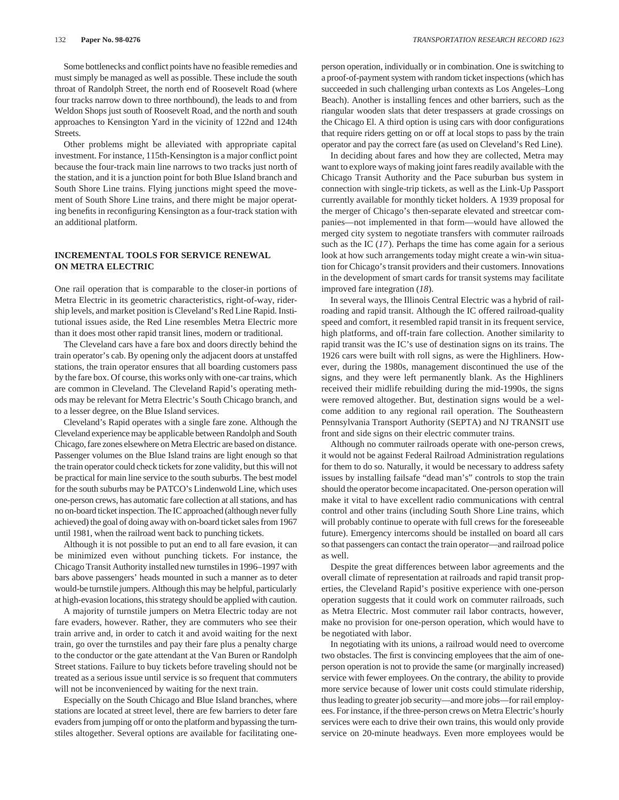Some bottlenecks and conflict points have no feasible remedies and must simply be managed as well as possible. These include the south throat of Randolph Street, the north end of Roosevelt Road (where four tracks narrow down to three northbound), the leads to and from Weldon Shops just south of Roosevelt Road, and the north and south approaches to Kensington Yard in the vicinity of 122nd and 124th Streets.

Other problems might be alleviated with appropriate capital investment. For instance, 115th-Kensington is a major conflict point because the four-track main line narrows to two tracks just north of the station, and it is a junction point for both Blue Island branch and South Shore Line trains. Flying junctions might speed the movement of South Shore Line trains, and there might be major operating benefits in reconfiguring Kensington as a four-track station with an additional platform.

### **INCREMENTAL TOOLS FOR SERVICE RENEWAL ON METRA ELECTRIC**

One rail operation that is comparable to the closer-in portions of Metra Electric in its geometric characteristics, right-of-way, ridership levels, and market position is Cleveland's Red Line Rapid. Institutional issues aside, the Red Line resembles Metra Electric more than it does most other rapid transit lines, modern or traditional.

The Cleveland cars have a fare box and doors directly behind the train operator's cab. By opening only the adjacent doors at unstaffed stations, the train operator ensures that all boarding customers pass by the fare box. Of course, this works only with one-car trains, which are common in Cleveland. The Cleveland Rapid's operating methods may be relevant for Metra Electric's South Chicago branch, and to a lesser degree, on the Blue Island services.

Cleveland's Rapid operates with a single fare zone. Although the Cleveland experience may be applicable between Randolph and South Chicago, fare zones elsewhere on Metra Electric are based on distance. Passenger volumes on the Blue Island trains are light enough so that the train operator could check tickets for zone validity, but this will not be practical for main line service to the south suburbs. The best model for the south suburbs may be PATCO's Lindenwold Line, which uses one-person crews, has automatic fare collection at all stations, and has no on-board ticket inspection. The IC approached (although never fully achieved) the goal of doing away with on-board ticket sales from 1967 until 1981, when the railroad went back to punching tickets.

Although it is not possible to put an end to all fare evasion, it can be minimized even without punching tickets. For instance, the Chicago Transit Authority installed new turnstiles in 1996–1997 with bars above passengers' heads mounted in such a manner as to deter would-be turnstile jumpers. Although this may be helpful, particularly at high-evasion locations, this strategy should be applied with caution.

A majority of turnstile jumpers on Metra Electric today are not fare evaders, however. Rather, they are commuters who see their train arrive and, in order to catch it and avoid waiting for the next train, go over the turnstiles and pay their fare plus a penalty charge to the conductor or the gate attendant at the Van Buren or Randolph Street stations. Failure to buy tickets before traveling should not be treated as a serious issue until service is so frequent that commuters will not be inconvenienced by waiting for the next train.

Especially on the South Chicago and Blue Island branches, where stations are located at street level, there are few barriers to deter fare evaders from jumping off or onto the platform and bypassing the turnstiles altogether. Several options are available for facilitating oneperson operation, individually or in combination. One is switching to a proof-of-payment system with random ticket inspections (which has succeeded in such challenging urban contexts as Los Angeles–Long Beach). Another is installing fences and other barriers, such as the riangular wooden slats that deter trespassers at grade crossings on the Chicago El. A third option is using cars with door configurations that require riders getting on or off at local stops to pass by the train operator and pay the correct fare (as used on Cleveland's Red Line).

In deciding about fares and how they are collected, Metra may want to explore ways of making joint fares readily available with the Chicago Transit Authority and the Pace suburban bus system in connection with single-trip tickets, as well as the Link-Up Passport currently available for monthly ticket holders. A 1939 proposal for the merger of Chicago's then-separate elevated and streetcar companies—not implemented in that form—would have allowed the merged city system to negotiate transfers with commuter railroads such as the IC (*17*). Perhaps the time has come again for a serious look at how such arrangements today might create a win-win situation for Chicago's transit providers and their customers. Innovations in the development of smart cards for transit systems may facilitate improved fare integration (*18*).

In several ways, the Illinois Central Electric was a hybrid of railroading and rapid transit. Although the IC offered railroad-quality speed and comfort, it resembled rapid transit in its frequent service, high platforms, and off-train fare collection. Another similarity to rapid transit was the IC's use of destination signs on its trains. The 1926 cars were built with roll signs, as were the Highliners. However, during the 1980s, management discontinued the use of the signs, and they were left permanently blank. As the Highliners received their midlife rebuilding during the mid-1990s, the signs were removed altogether. But, destination signs would be a welcome addition to any regional rail operation. The Southeastern Pennsylvania Transport Authority (SEPTA) and NJ TRANSIT use front and side signs on their electric commuter trains.

Although no commuter railroads operate with one-person crews, it would not be against Federal Railroad Administration regulations for them to do so. Naturally, it would be necessary to address safety issues by installing failsafe "dead man's" controls to stop the train should the operator become incapacitated. One-person operation will make it vital to have excellent radio communications with central control and other trains (including South Shore Line trains, which will probably continue to operate with full crews for the foreseeable future). Emergency intercoms should be installed on board all cars so that passengers can contact the train operator—and railroad police as well.

Despite the great differences between labor agreements and the overall climate of representation at railroads and rapid transit properties, the Cleveland Rapid's positive experience with one-person operation suggests that it could work on commuter railroads, such as Metra Electric. Most commuter rail labor contracts, however, make no provision for one-person operation, which would have to be negotiated with labor.

In negotiating with its unions, a railroad would need to overcome two obstacles. The first is convincing employees that the aim of oneperson operation is not to provide the same (or marginally increased) service with fewer employees. On the contrary, the ability to provide more service because of lower unit costs could stimulate ridership, thus leading to greater job security—and more jobs—for rail employees. For instance, if the three-person crews on Metra Electric's hourly services were each to drive their own trains, this would only provide service on 20-minute headways. Even more employees would be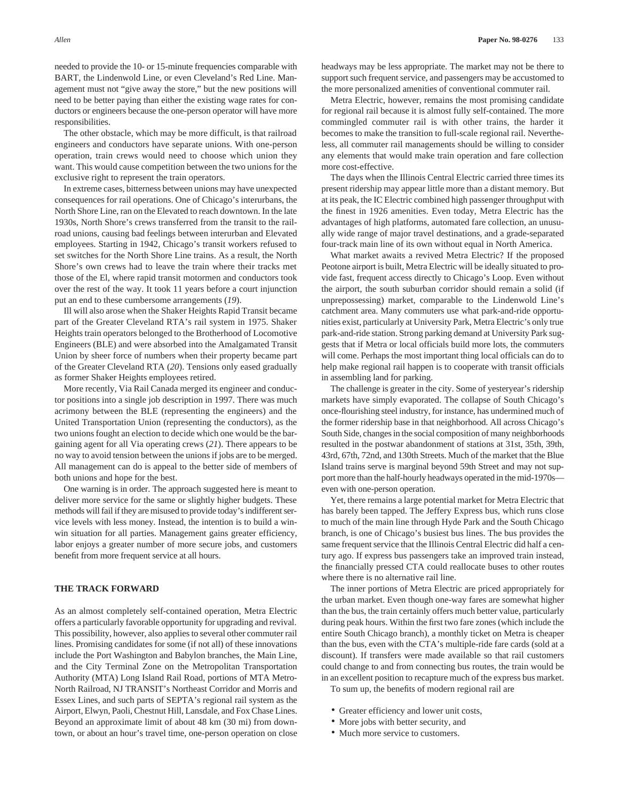needed to provide the 10- or 15-minute frequencies comparable with BART, the Lindenwold Line, or even Cleveland's Red Line. Management must not "give away the store," but the new positions will need to be better paying than either the existing wage rates for conductors or engineers because the one-person operator will have more responsibilities.

The other obstacle, which may be more difficult, is that railroad engineers and conductors have separate unions. With one-person operation, train crews would need to choose which union they want. This would cause competition between the two unions for the exclusive right to represent the train operators.

In extreme cases, bitterness between unions may have unexpected consequences for rail operations. One of Chicago's interurbans, the North Shore Line, ran on the Elevated to reach downtown. In the late 1930s, North Shore's crews transferred from the transit to the railroad unions, causing bad feelings between interurban and Elevated employees. Starting in 1942, Chicago's transit workers refused to set switches for the North Shore Line trains. As a result, the North Shore's own crews had to leave the train where their tracks met those of the El, where rapid transit motormen and conductors took over the rest of the way. It took 11 years before a court injunction put an end to these cumbersome arrangements (*19*).

Ill will also arose when the Shaker Heights Rapid Transit became part of the Greater Cleveland RTA's rail system in 1975. Shaker Heights train operators belonged to the Brotherhood of Locomotive Engineers (BLE) and were absorbed into the Amalgamated Transit Union by sheer force of numbers when their property became part of the Greater Cleveland RTA (*20*). Tensions only eased gradually as former Shaker Heights employees retired.

More recently, Via Rail Canada merged its engineer and conductor positions into a single job description in 1997. There was much acrimony between the BLE (representing the engineers) and the United Transportation Union (representing the conductors), as the two unions fought an election to decide which one would be the bargaining agent for all Via operating crews (*21*). There appears to be no way to avoid tension between the unions if jobs are to be merged. All management can do is appeal to the better side of members of both unions and hope for the best.

One warning is in order. The approach suggested here is meant to deliver more service for the same or slightly higher budgets. These methods will fail if they are misused to provide today's indifferent service levels with less money. Instead, the intention is to build a winwin situation for all parties. Management gains greater efficiency, labor enjoys a greater number of more secure jobs, and customers benefit from more frequent service at all hours.

#### **THE TRACK FORWARD**

As an almost completely self-contained operation, Metra Electric offers a particularly favorable opportunity for upgrading and revival. This possibility, however, also applies to several other commuter rail lines. Promising candidates for some (if not all) of these innovations include the Port Washington and Babylon branches, the Main Line, and the City Terminal Zone on the Metropolitan Transportation Authority (MTA) Long Island Rail Road, portions of MTA Metro-North Railroad, NJ TRANSIT's Northeast Corridor and Morris and Essex Lines, and such parts of SEPTA's regional rail system as the Airport, Elwyn, Paoli, Chestnut Hill, Lansdale, and Fox Chase Lines. Beyond an approximate limit of about 48 km (30 mi) from downtown, or about an hour's travel time, one-person operation on close

headways may be less appropriate. The market may not be there to support such frequent service, and passengers may be accustomed to the more personalized amenities of conventional commuter rail.

Metra Electric, however, remains the most promising candidate for regional rail because it is almost fully self-contained. The more commingled commuter rail is with other trains, the harder it becomes to make the transition to full-scale regional rail. Nevertheless, all commuter rail managements should be willing to consider any elements that would make train operation and fare collection more cost-effective.

The days when the Illinois Central Electric carried three times its present ridership may appear little more than a distant memory. But at its peak, the IC Electric combined high passenger throughput with the finest in 1926 amenities. Even today, Metra Electric has the advantages of high platforms, automated fare collection, an unusually wide range of major travel destinations, and a grade-separated four-track main line of its own without equal in North America.

What market awaits a revived Metra Electric? If the proposed Peotone airport is built, Metra Electric will be ideally situated to provide fast, frequent access directly to Chicago's Loop. Even without the airport, the south suburban corridor should remain a solid (if unprepossessing) market, comparable to the Lindenwold Line's catchment area. Many commuters use what park-and-ride opportunities exist, particularly at University Park, Metra Electric's only true park-and-ride station. Strong parking demand at University Park suggests that if Metra or local officials build more lots, the commuters will come. Perhaps the most important thing local officials can do to help make regional rail happen is to cooperate with transit officials in assembling land for parking.

The challenge is greater in the city. Some of yesteryear's ridership markets have simply evaporated. The collapse of South Chicago's once-flourishing steel industry, for instance, has undermined much of the former ridership base in that neighborhood. All across Chicago's South Side, changes in the social composition of many neighborhoods resulted in the postwar abandonment of stations at 31st, 35th, 39th, 43rd, 67th, 72nd, and 130th Streets. Much of the market that the Blue Island trains serve is marginal beyond 59th Street and may not support more than the half-hourly headways operated in the mid-1970s even with one-person operation.

Yet, there remains a large potential market for Metra Electric that has barely been tapped. The Jeffery Express bus, which runs close to much of the main line through Hyde Park and the South Chicago branch, is one of Chicago's busiest bus lines. The bus provides the same frequent service that the Illinois Central Electric did half a century ago. If express bus passengers take an improved train instead, the financially pressed CTA could reallocate buses to other routes where there is no alternative rail line.

The inner portions of Metra Electric are priced appropriately for the urban market. Even though one-way fares are somewhat higher than the bus, the train certainly offers much better value, particularly during peak hours. Within the first two fare zones (which include the entire South Chicago branch), a monthly ticket on Metra is cheaper than the bus, even with the CTA's multiple-ride fare cards (sold at a discount). If transfers were made available so that rail customers could change to and from connecting bus routes, the train would be in an excellent position to recapture much of the express bus market.

To sum up, the benefits of modern regional rail are

- Greater efficiency and lower unit costs,
- More jobs with better security, and
- Much more service to customers.